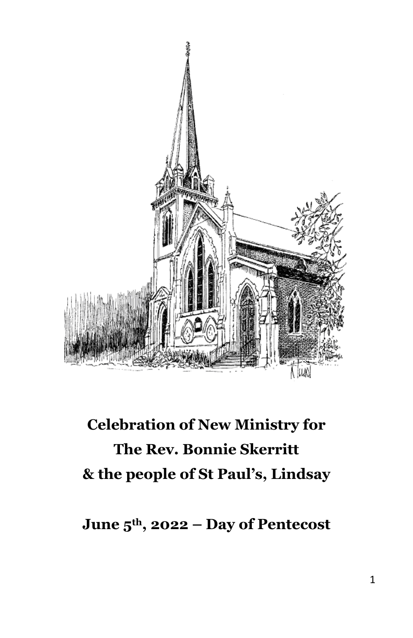

# **Celebration of New Ministry for The Rev. Bonnie Skerritt & the people of St Paul's, Lindsay**

**June 5th, 2022 – Day of Pentecost**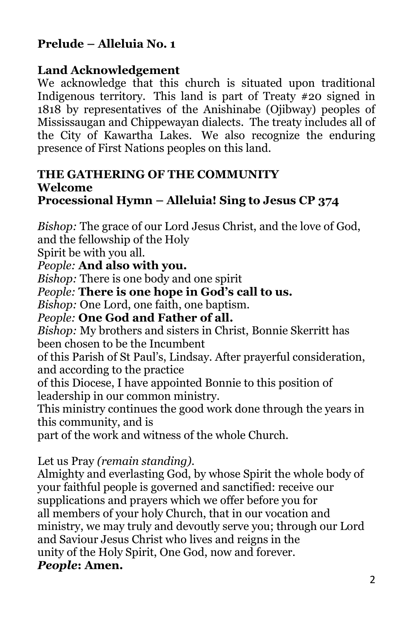# **Prelude – Alleluia No. 1**

#### **Land Acknowledgement**

We acknowledge that this church is situated upon traditional Indigenous territory. This land is part of Treaty #20 signed in 1818 by representatives of the Anishinabe (Ojibway) peoples of Mississaugan and Chippewayan dialects. The treaty includes all of the City of Kawartha Lakes. We also recognize the enduring presence of First Nations peoples on this land.

#### **THE GATHERING OF THE COMMUNITY Welcome Processional Hymn – Alleluia! Sing to Jesus CP 374**

*Bishop:* The grace of our Lord Jesus Christ, and the love of God, and the fellowship of the Holy Spirit be with you all. *People:* **And also with you.** *Bishop:* There is one body and one spirit *People:* **There is one hope in God's call to us.** *Bishop:* One Lord, one faith, one baptism. *People:* **One God and Father of all.** *Bishop:* My brothers and sisters in Christ, Bonnie Skerritt has been chosen to be the Incumbent of this Parish of St Paul's, Lindsay*.* After prayerful consideration, and according to the practice of this Diocese, I have appointed Bonnie to this position of leadership in our common ministry. This ministry continues the good work done through the years in this community, and is part of the work and witness of the whole Church.

Let us Pray *(remain standing).*

Almighty and everlasting God, by whose Spirit the whole body of your faithful people is governed and sanctified: receive our supplications and prayers which we offer before you for all members of your holy Church, that in our vocation and ministry, we may truly and devoutly serve you; through our Lord and Saviour Jesus Christ who lives and reigns in the unity of the Holy Spirit, One God, now and forever. *People***: Amen.**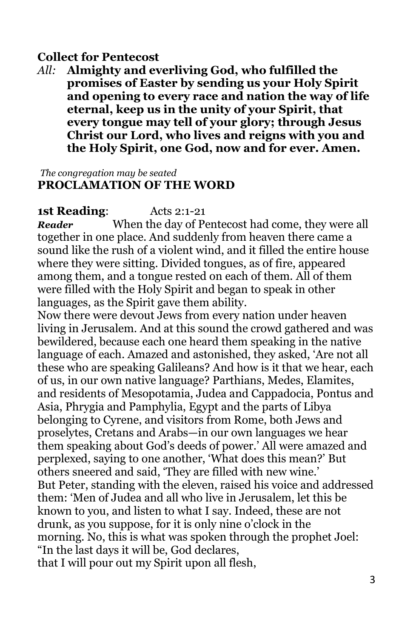#### **Collect for Pentecost**

*All:* **Almighty and everliving God, who fulfilled the promises of Easter by sending us your Holy Spirit and opening to every race and nation the way of life eternal, keep us in the unity of your Spirit, that every tongue may tell of your glory; through Jesus Christ our Lord, who lives and reigns with you and the Holy Spirit, one God, now and for ever. Amen.**

#### *The congregation may be seated* **PROCLAMATION OF THE WORD**

#### **1st Reading**: Acts 2:1-21

*Reader* When the day of Pentecost had come, they were all together in one place. And suddenly from heaven there came a sound like the rush of a violent wind, and it filled the entire house where they were sitting. Divided tongues, as of fire, appeared among them, and a tongue rested on each of them. All of them were filled with the Holy Spirit and began to speak in other languages, as the Spirit gave them ability.

Now there were devout Jews from every nation under heaven living in Jerusalem. And at this sound the crowd gathered and was bewildered, because each one heard them speaking in the native language of each. Amazed and astonished, they asked, 'Are not all these who are speaking Galileans? And how is it that we hear, each of us, in our own native language? Parthians, Medes, Elamites, and residents of Mesopotamia, Judea and Cappadocia, Pontus and Asia, Phrygia and Pamphylia, Egypt and the parts of Libya belonging to Cyrene, and visitors from Rome, both Jews and proselytes, Cretans and Arabs—in our own languages we hear them speaking about God's deeds of power.' All were amazed and perplexed, saying to one another, 'What does this mean?' But others sneered and said, 'They are filled with new wine.' But Peter, standing with the eleven, raised his voice and addressed them: 'Men of Judea and all who live in Jerusalem, let this be known to you, and listen to what I say. Indeed, these are not drunk, as you suppose, for it is only nine o'clock in the morning. No, this is what was spoken through the prophet Joel: "In the last days it will be, God declares, that I will pour out my Spirit upon all flesh,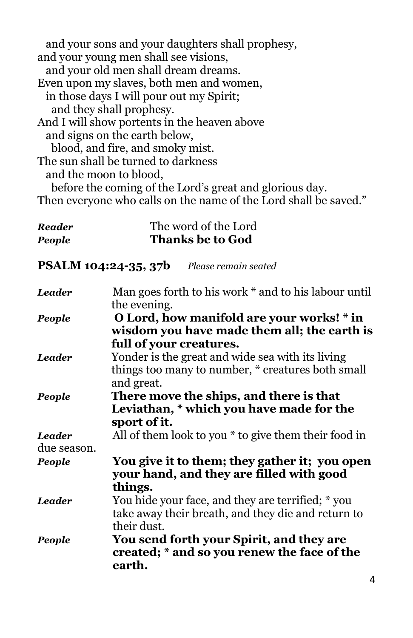and your sons and your daughters shall prophesy, and your young men shall see visions, and your old men shall dream dreams. Even upon my slaves, both men and women, in those days I will pour out my Spirit; and they shall prophesy. And I will show portents in the heaven above and signs on the earth below, blood, and fire, and smoky mist. The sun shall be turned to darkness and the moon to blood, before the coming of the Lord's great and glorious day. Then everyone who calls on the name of the Lord shall be saved."

| Reader | The word of the Lord    |
|--------|-------------------------|
| People | <b>Thanks be to God</b> |

**PSALM 104:24-35, 37b** *Please remain seated*

| Leader        | Man goes forth to his work * and to his labour until |
|---------------|------------------------------------------------------|
|               | the evening.                                         |
| <b>People</b> | O Lord, how manifold are your works! * in            |
|               | wisdom you have made them all; the earth is          |
|               | full of your creatures.                              |
| <b>Leader</b> | Yonder is the great and wide sea with its living     |
|               | things too many to number, * creatures both small    |
|               | and great.                                           |
| People        | There move the ships, and there is that              |
|               | Leviathan, * which you have made for the             |
|               | sport of it.                                         |
| Leader        | All of them look to you * to give them their food in |
| due season.   |                                                      |
| People        | You give it to them; they gather it; you open        |
|               | your hand, and they are filled with good             |
|               | things.                                              |
| <b>Leader</b> | You hide your face, and they are terrified; * you    |
|               | take away their breath, and they die and return to   |
|               | their dust.                                          |
| <b>People</b> | You send forth your Spirit, and they are             |
|               | created; * and so you renew the face of the          |
|               | earth.                                               |
|               |                                                      |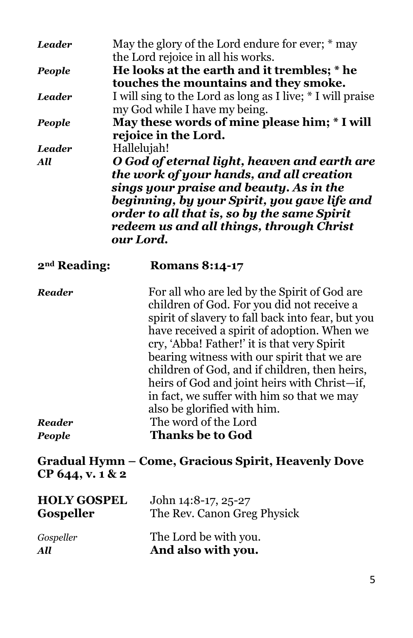| <b>Leader</b><br>People<br><b>Leader</b><br>People<br><b>Leader</b><br>All | May the glory of the Lord endure for ever; * may<br>the Lord rejoice in all his works.<br>He looks at the earth and it trembles; * he<br>touches the mountains and they smoke.<br>I will sing to the Lord as long as I live; * I will praise<br>my God while I have my being.<br>May these words of mine please him; * I will<br>rejoice in the Lord.<br>Hallelujah!<br>O God of eternal light, heaven and earth are<br>the work of your hands, and all creation<br>sings your praise and beauty. As in the<br>beginning, by your Spirit, you gave life and<br>order to all that is, so by the same Spirit<br>redeem us and all things, through Christ<br>our Lord. |
|----------------------------------------------------------------------------|---------------------------------------------------------------------------------------------------------------------------------------------------------------------------------------------------------------------------------------------------------------------------------------------------------------------------------------------------------------------------------------------------------------------------------------------------------------------------------------------------------------------------------------------------------------------------------------------------------------------------------------------------------------------|
| 2 <sup>nd</sup> Reading:                                                   | <b>Romans 8:14-17</b>                                                                                                                                                                                                                                                                                                                                                                                                                                                                                                                                                                                                                                               |
| <b>Reader</b><br><b>Reader</b>                                             | For all who are led by the Spirit of God are<br>children of God. For you did not receive a<br>spirit of slavery to fall back into fear, but you<br>have received a spirit of adoption. When we<br>cry, 'Abba! Father!' it is that very Spirit<br>bearing witness with our spirit that we are<br>children of God, and if children, then heirs,<br>heirs of God and joint heirs with Christ-if,<br>in fact, we suffer with him so that we may<br>also be glorified with him.<br>The word of the Lord                                                                                                                                                                  |
| People                                                                     | <b>Thanks be to God</b>                                                                                                                                                                                                                                                                                                                                                                                                                                                                                                                                                                                                                                             |

**Gradual Hymn – Come, Gracious Spirit, Heavenly Dove CP 644, v. 1 & 2**

| <b>HOLY GOSPEL</b> | John 14:8-17, 25-27         |
|--------------------|-----------------------------|
| Gospeller          | The Rev. Canon Greg Physick |
| Gospeller          | The Lord be with you.       |
| All                | And also with you.          |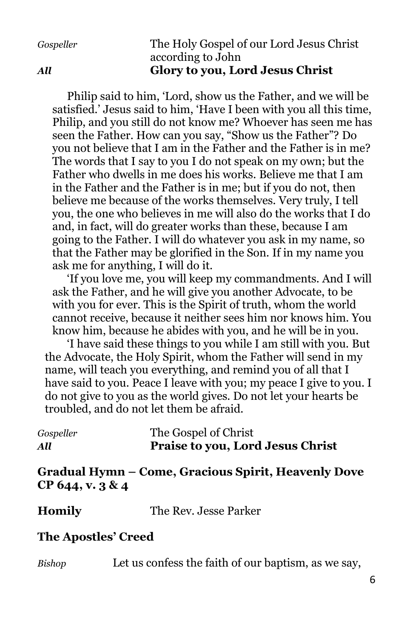## *Gospeller* The Holy Gospel of our Lord Jesus Christ according to John *All* **Glory to you, Lord Jesus Christ**

Philip said to him, 'Lord, show us the Father, and we will be satisfied.' Jesus said to him, 'Have I been with you all this time, Philip, and you still do not know me? Whoever has seen me has seen the Father. How can you say, "Show us the Father"? Do you not believe that I am in the Father and the Father is in me? The words that I say to you I do not speak on my own; but the Father who dwells in me does his works. Believe me that I am in the Father and the Father is in me; but if you do not, then believe me because of the works themselves. Very truly, I tell you, the one who believes in me will also do the works that I do and, in fact, will do greater works than these, because I am going to the Father. I will do whatever you ask in my name, so that the Father may be glorified in the Son. If in my name you ask me for anything, I will do it.

'If you love me, you will keep my commandments. And I will ask the Father, and he will give you another Advocate, to be with you for ever. This is the Spirit of truth, whom the world cannot receive, because it neither sees him nor knows him. You know him, because he abides with you, and he will be in you.

'I have said these things to you while I am still with you. But the Advocate, the Holy Spirit, whom the Father will send in my name, will teach you everything, and remind you of all that I have said to you. Peace I leave with you; my peace I give to you. I do not give to you as the world gives. Do not let your hearts be troubled, and do not let them be afraid.

| Gospeller | The Gospel of Christ                    |
|-----------|-----------------------------------------|
| All       | <b>Praise to you, Lord Jesus Christ</b> |

**Gradual Hymn – Come, Gracious Spirit, Heavenly Dove CP 644, v. 3 & 4**

## **The Apostles' Creed**

*Bishop* Let us confess the faith of our baptism, as we say,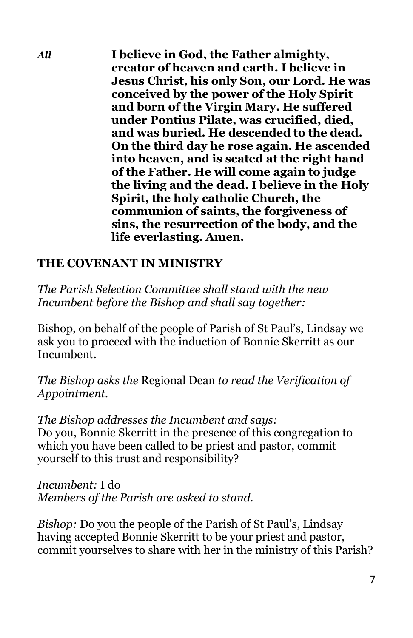*All* **I believe in God, the Father almighty, creator of heaven and earth. I believe in Jesus Christ, his only Son, our Lord. He was conceived by the power of the Holy Spirit and born of the Virgin Mary. He suffered under Pontius Pilate, was crucified, died, and was buried. He descended to the dead. On the third day he rose again. He ascended into heaven, and is seated at the right hand of the Father. He will come again to judge the living and the dead. I believe in the Holy Spirit, the holy catholic Church, the communion of saints, the forgiveness of sins, the resurrection of the body, and the life everlasting. Amen.**

# **THE COVENANT IN MINISTRY**

*The Parish Selection Committee shall stand with the new Incumbent before the Bishop and shall say together:*

Bishop, on behalf of the people of Parish of St Paul's, Lindsay we ask you to proceed with the induction of Bonnie Skerritt as our Incumbent.

*The Bishop asks the* Regional Dean *to read the Verification of Appointment.*

*The Bishop addresses the Incumbent and says:* Do you, Bonnie Skerritt in the presence of this congregation to which you have been called to be priest and pastor, commit yourself to this trust and responsibility?

*Incumbent:* I do *Members of the Parish are asked to stand.*

*Bishop:* Do you the people of the Parish of St Paul's, Lindsay having accepted Bonnie Skerritt to be your priest and pastor, commit yourselves to share with her in the ministry of this Parish?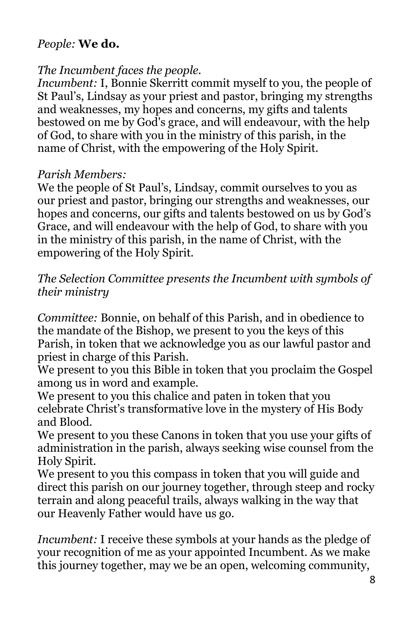# *People:* **We do.**

#### *The Incumbent faces the people.*

*Incumbent:* I, Bonnie Skerritt commit myself to you, the people of St Paul's, Lindsay as your priest and pastor, bringing my strengths and weaknesses, my hopes and concerns, my gifts and talents bestowed on me by God's grace, and will endeavour, with the help of God, to share with you in the ministry of this parish, in the name of Christ, with the empowering of the Holy Spirit.

#### *Parish Members:*

We the people of St Paul's, Lindsay, commit ourselves to you as our priest and pastor, bringing our strengths and weaknesses, our hopes and concerns, our gifts and talents bestowed on us by God's Grace, and will endeavour with the help of God, to share with you in the ministry of this parish, in the name of Christ, with the empowering of the Holy Spirit.

*The Selection Committee presents the Incumbent with symbols of their ministry*

*Committee:* Bonnie, on behalf of this Parish, and in obedience to the mandate of the Bishop, we present to you the keys of this Parish, in token that we acknowledge you as our lawful pastor and priest in charge of this Parish.

We present to you this Bible in token that you proclaim the Gospel among us in word and example.

We present to you this chalice and paten in token that you celebrate Christ's transformative love in the mystery of His Body and Blood.

We present to you these Canons in token that you use your gifts of administration in the parish, always seeking wise counsel from the Holy Spirit.

We present to you this compass in token that you will guide and direct this parish on our journey together, through steep and rocky terrain and along peaceful trails, always walking in the way that our Heavenly Father would have us go.

*Incumbent:* I receive these symbols at your hands as the pledge of your recognition of me as your appointed Incumbent. As we make this journey together, may we be an open, welcoming community,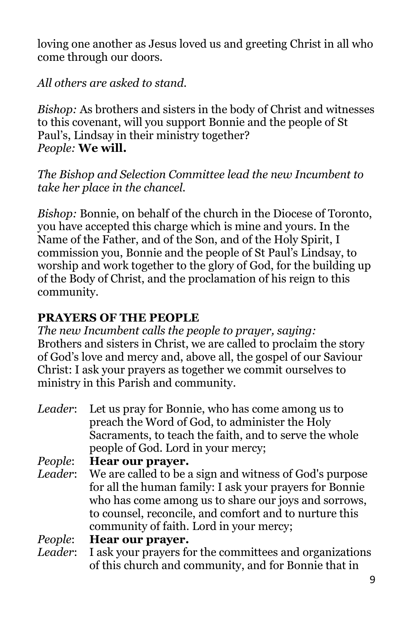loving one another as Jesus loved us and greeting Christ in all who come through our doors.

*All others are asked to stand.*

*Bishop:* As brothers and sisters in the body of Christ and witnesses to this covenant, will you support Bonnie and the people of St Paul's, Lindsay in their ministry together? *People:* **We will.**

*The Bishop and Selection Committee lead the new Incumbent to take her place in the chancel.*

*Bishop:* Bonnie, on behalf of the church in the Diocese of Toronto, you have accepted this charge which is mine and yours. In the Name of the Father, and of the Son, and of the Holy Spirit, I commission you, Bonnie and the people of St Paul's Lindsay, to worship and work together to the glory of God, for the building up of the Body of Christ, and the proclamation of his reign to this community.

# **PRAYERS OF THE PEOPLE**

*The new Incumbent calls the people to prayer, saying:* Brothers and sisters in Christ, we are called to proclaim the story of God's love and mercy and, above all, the gospel of our Saviour Christ: I ask your prayers as together we commit ourselves to ministry in this Parish and community.

*Leader*: Let us pray for Bonnie, who has come among us to preach the Word of God, to administer the Holy Sacraments, to teach the faith, and to serve the whole people of God. Lord in your mercy;

## *People*: **Hear our prayer.**

- *Leader*: We are called to be a sign and witness of God's purpose for all the human family: I ask your prayers for Bonnie who has come among us to share our joys and sorrows, to counsel, reconcile, and comfort and to nurture this community of faith. Lord in your mercy;
- *People*: **Hear our prayer.**
- *Leader*: I ask your prayers for the committees and organizations of this church and community, and for Bonnie that in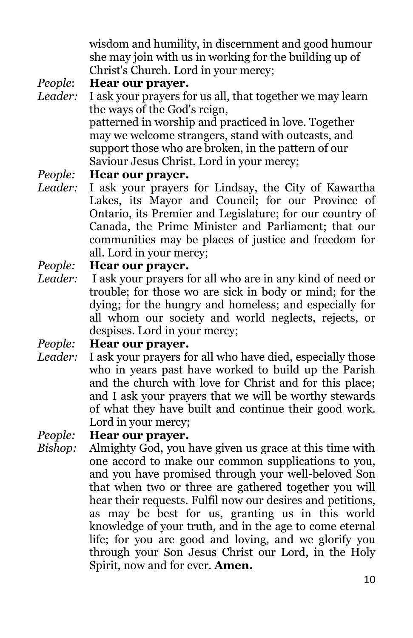wisdom and humility, in discernment and good humour she may join with us in working for the building up of Christ's Church. Lord in your mercy;

# *People*: **Hear our prayer.**

*Leader:* I ask your prayers for us all, that together we may learn the ways of the God's reign, patterned in worship and practiced in love. Together may we welcome strangers, stand with outcasts, and support those who are broken, in the pattern of our Saviour Jesus Christ. Lord in your mercy;

#### *People:* **Hear our prayer.**

*Leader:* I ask your prayers for Lindsay, the City of Kawartha Lakes, its Mayor and Council; for our Province of Ontario, its Premier and Legislature; for our country of Canada, the Prime Minister and Parliament; that our communities may be places of justice and freedom for all. Lord in your mercy;

## *People:* **Hear our prayer.**

*Leader:* I ask your prayers for all who are in any kind of need or trouble; for those wo are sick in body or mind; for the dying; for the hungry and homeless; and especially for all whom our society and world neglects, rejects, or despises. Lord in your mercy;

## *People:* **Hear our prayer.**

*Leader:* I ask your prayers for all who have died, especially those who in years past have worked to build up the Parish and the church with love for Christ and for this place; and I ask your prayers that we will be worthy stewards of what they have built and continue their good work. Lord in your mercy;

### *People:* **Hear our prayer.**

*Bishop:* Almighty God, you have given us grace at this time with one accord to make our common supplications to you, and you have promised through your well-beloved Son that when two or three are gathered together you will hear their requests. Fulfil now our desires and petitions, as may be best for us, granting us in this world knowledge of your truth, and in the age to come eternal life; for you are good and loving, and we glorify you through your Son Jesus Christ our Lord, in the Holy Spirit, now and for ever. **Amen.**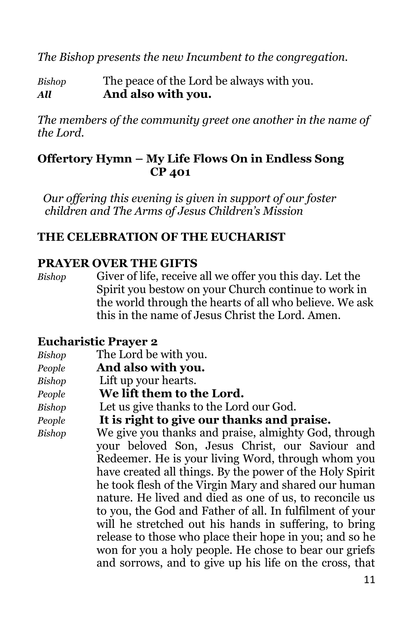*The Bishop presents the new Incumbent to the congregation.* 

*Bishop* The peace of the Lord be always with you. *All* **And also with you.**

*The members of the community greet one another in the name of the Lord.*

## **Offertory Hymn – My Life Flows On in Endless Song CP 401**

*Our offering this evening is given in support of our foster children and The Arms of Jesus Children's Mission*

#### **THE CELEBRATION OF THE EUCHARIST**

#### **PRAYER OVER THE GIFTS**

*Bishop* Giver of life, receive all we offer you this day. Let the Spirit you bestow on your Church continue to work in the world through the hearts of all who believe. We ask this in the name of Jesus Christ the Lord. Amen.

## **Eucharistic Prayer 2**

- *Bishop* The Lord be with you.
- *People* **And also with you.**
- *Bishop* Lift up your hearts.
- *People* **We lift them to the Lord.**
- *Bishop* Let us give thanks to the Lord our God.
- *People* **It is right to give our thanks and praise.**
- *Bishop* We give you thanks and praise, almighty God, through your beloved Son, Jesus Christ, our Saviour and Redeemer. He is your living Word, through whom you have created all things. By the power of the Holy Spirit he took flesh of the Virgin Mary and shared our human nature. He lived and died as one of us, to reconcile us to you, the God and Father of all. In fulfilment of your will he stretched out his hands in suffering, to bring release to those who place their hope in you; and so he won for you a holy people. He chose to bear our griefs and sorrows, and to give up his life on the cross, that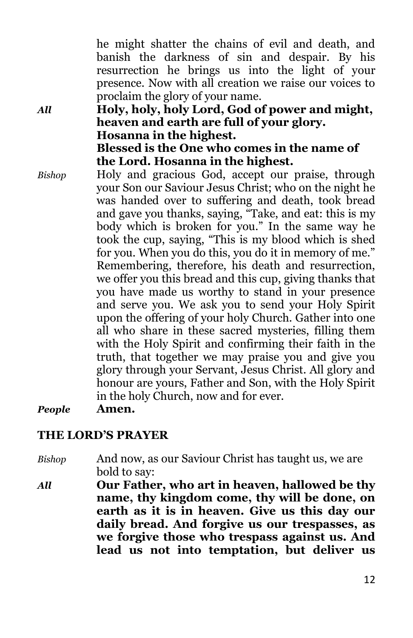he might shatter the chains of evil and death, and banish the darkness of sin and despair. By his resurrection he brings us into the light of your presence. Now with all creation we raise our voices to proclaim the glory of your name.

*All* **Holy, holy, holy Lord, God of power and might, heaven and earth are full of your glory. Hosanna in the highest. Blessed is the One who comes in the name of the Lord. Hosanna in the highest.** 

*Bishop* Holy and gracious God, accept our praise, through your Son our Saviour Jesus Christ; who on the night he was handed over to suffering and death, took bread and gave you thanks, saying, "Take, and eat: this is my body which is broken for you." In the same way he took the cup, saying, "This is my blood which is shed for you. When you do this, you do it in memory of me." Remembering, therefore, his death and resurrection, we offer you this bread and this cup, giving thanks that you have made us worthy to stand in your presence and serve you. We ask you to send your Holy Spirit upon the offering of your holy Church. Gather into one all who share in these sacred mysteries, filling them with the Holy Spirit and confirming their faith in the truth, that together we may praise you and give you glory through your Servant, Jesus Christ. All glory and honour are yours, Father and Son, with the Holy Spirit in the holy Church, now and for ever.

#### *People* **Amen.**

#### **THE LORD'S PRAYER**

- *Bishop* And now, as our Saviour Christ has taught us, we are bold to say:
- *All* **Our Father, who art in heaven, hallowed be thy name, thy kingdom come, thy will be done, on earth as it is in heaven. Give us this day our daily bread. And forgive us our trespasses, as we forgive those who trespass against us. And lead us not into temptation, but deliver us**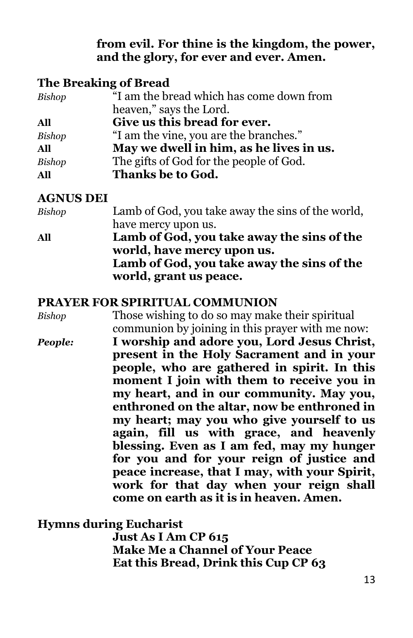#### **from evil. For thine is the kingdom, the power, and the glory, for ever and ever. Amen.**

#### **The Breaking of Bread**

| Bishop | "I am the bread which has come down from |
|--------|------------------------------------------|
|        | heaven," says the Lord.                  |
| All    | Give us this bread for ever.             |
| Bishop | "I am the vine, you are the branches."   |
| All    | May we dwell in him, as he lives in us.  |
| Bishop | The gifts of God for the people of God.  |
| All    | <b>Thanks be to God.</b>                 |

#### **AGNUS DEI**

| All    | Lamb of God, you take away the sins of the        |
|--------|---------------------------------------------------|
|        | have mercy upon us.                               |
| Bishop | Lamb of God, you take away the sins of the world, |

**world, have mercy upon us. Lamb of God, you take away the sins of the world, grant us peace.**

#### **PRAYER FOR SPIRITUAL COMMUNION**

*Bishop* Those wishing to do so may make their spiritual communion by joining in this prayer with me now: *People:* **I worship and adore you, Lord Jesus Christ, present in the Holy Sacrament and in your people, who are gathered in spirit. In this moment I join with them to receive you in my heart, and in our community. May you, enthroned on the altar, now be enthroned in my heart; may you who give yourself to us again, fill us with grace, and heavenly blessing. Even as I am fed, may my hunger for you and for your reign of justice and peace increase, that I may, with your Spirit, work for that day when your reign shall come on earth as it is in heaven. Amen.**

#### **Hymns during Eucharist**

**Just As I Am CP 615 Make Me a Channel of Your Peace Eat this Bread, Drink this Cup CP 63**